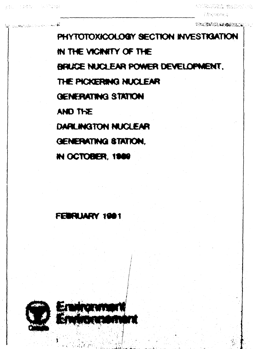**COMPASSION** INVESTIGATION

 $\mathcal{L}^{(1)}\left( \mathcal{L}^{(2)}\left( \mathcal{L}^{(1)}\right) \right) = \mathcal{L}^{(1)}\left( \mathcal{L}^{(2)}\left( \mathcal{L}^{(1)}\right) \right) = \mathcal{L}^{(1)}\left( \mathcal{L}^{(1)}\right) = \mathcal{L}^{(1)}\left( \mathcal{L}^{(1)}\right) = \mathcal{L}^{(1)}\left( \mathcal{L}^{(1)}\right) = \mathcal{L}^{(1)}\left( \mathcal{L}^{(1)}\right) = \mathcal{L}^{(1)}\left( \mathcal{L}^{(1)}\right)$ 

PHYTOTOXICOLOGY SECTION INVESTIGATION **m THE viONnY OP THE BRUCE NUCLEAR POAMER DEVELOPMENT, THE PICKERNQ NUCLEAR GENERATING S1WTON WIOTKE DARLINGTON NUCLEAR GENERATINQ STATION, IN OCTOBER, 1989** 

# FEWRLIARY 1981



**v -it \***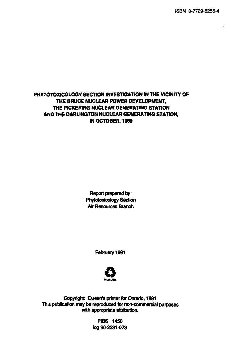ISBN 0-7729-8255-4

#### **PHYTOTOXICOLOGY SECTION INVESTIGATION IN THE VICINITY OF THE BRUCE NUCLEAR POWER DEVELOPMENT, THE PICKERING NUCLEAR GENERATING STATION AND THE DARUNGTON NUCLEAR GENERATING STATION, IN OCTOBER, 1969**

Report prepared by: Phytotoxicology Section Air Resources Branch

February 1991



Copyright: Queen's printer for Ontario, 1991 This publication may be reproduced for non-commercial purposes with appropriate attribution.

> PIBS 1450 log 90-2231-073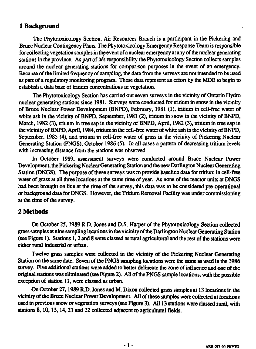# **1 Background**

**The Phytotoxicology Section, Air Resources Branch is a participant in the Pickering and Bruce Nuclear Contingency Plans. The Phytotoxicology Emergency Response Team is responsible for collecting vegetation samples in the event of a nuclear emergency at any of the nuclear generating** stations in the province. As part of it's responsibility the Phytotoxicology Section collects samples **around the nuclear generating stations for comparison purposes in the event of an emergency. Because of the limited frequency of sampling, the data from the surveys are not intended to be used as part of a regulatory monitoring program. These data represent an effort by the MOE to begin to establish a data base of tritium concentrations in vegetation.**

**The Phytotoxicology Section has carried out seven surveys in the vicinity of Ontario Hydro nuclear generating stations since 1981. Surveys were conducted for tritium in snow in the vicinity of Bruce Nuclear Power Development (BNPD), February, 1981 (1), tritium in cell-free water of white ash in the vicinity of BNPD, September, 1981 (2), tritium in snow in the vicinity of BNPD, March, 1982 (3), tritium in tree sap in the vicinity of BNPD, April, 1982 (3), tritium in tree sap in the vicinity of BNPD, April, 1984, tritium in the cell-free water of white ash in the vicinity of BNPD, September, 1985 (4), and tritium in cell-free water of grass in the vicinity of Pickering Nuclear Generating Station (PNGS), October 1986 (5). In all cases a pattern of decreasing tritium levels with increasing distance from the stations was observed.**

**In October 1989, assessment surveys were conducted around Bruce Nuclear Power Development, the Pickering Nuclear Generating Station and the new Darlington Nuclear Generating Station (DNGS). The purpose of these surveys was to provide baseline data for tritium in cell-free water of grass at all three locations at the same time of year. As none of the reactor units at DNGS** had been brought on line at the time of the survey, this data was to be considered pre-operational **or background data for DNGS. However, the Tritium Removal Facility was under commissioning at the time of the survey.**

# **2 Methods**

**On October 25,1989 R.D. Jones and D.S. Harper of the Phytotoxicology Section collected grass samples at nine sampling locations in the vicinity of the Darlington Nuclear Generating Station (see Figure 1). Stations 1,2 and 8 were classed as rural agricultural and the rest of the stations were either rural industrial or urban.**

**Twelve grass samples were collected in the vicinity of the Pickering Nuclear Generating Station on the same date. Seven of the PNGS sampling locations were the same as used in the 1986 survey. Five additional stations were added to better delineate the zone of influence and one of the original stations was eliminated (see Figure 2). All of the PNGS sample locations, with the possible exception of station 11, were classed as urban.**

**On October 27,1989 R.D. Jones and M. Dixon collected grass samples at 13 locations in the vicinity of the Bruce Nuclear Power Development All of these samples were collected at locations used in previous snow or vegetation surveys (see Figure 3). All 13 stations were classed rural, with stations 8,10,13,14,21 and 22 collected adjacent to agricultural fields.**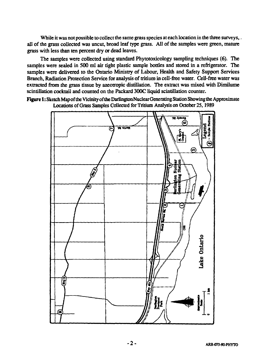While it was not possible to collect the same grass species at each location in the three surveys, . all of the grass collected was uncut, broad leaf type grass. All of the samples were green, mature grass with less than ten percent dry or dead leaves.

The samples were collected using standard Phytotoxicology sampling techniques (6). The samples were sealed in 500 ml air tight plastic sample bottles and stored in a refrigerator. The samples were delivered to the Ontario Ministry of Labour, Health and Safety Support Services Branch, Radiation Protection Service for analysis of tritium in cell-free water. Cell-free water was extracted from the grass tissue by azeotropic distillation. The extract was mixed with Dimilume scintillation cocktail and counted on the Packard 300C liquid scintillation counter.

Figure 1: Sketch Map of the Vicinity of the Darlington Nuclear Generating Station Showing the Approximate Locations of Grass Samples Collected for Tritium Analysis on October 25,1989

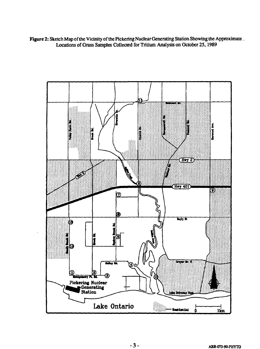**Figure 2: Sketch Map of the Vicinity of the Pickering Nuclear Generating Station Showing the Approximate Locations of Grass Samples Collected for Tritium Analysis on October 25,1989**

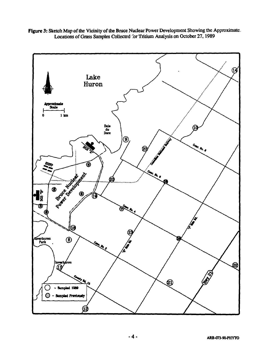

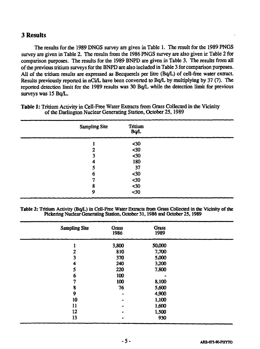# **3 Results**

The results for the 1989 DNGS survey are given in Table 1. The result for the 1989 PNGS survey are given in Table 2. The results from the 1986 PNGS survey are also given in Table 2 for comparison purposes. The results for the 1989 BNPD are given in Table 3. The results from all of the previous tritium surveys for the BNPD are also included in Table 3 for comparison purposes. All of the tritium results are expressed as Becquerels per litre (Bq/L) of cell-free water extract. Results previously reported in nCi/L have been converted to Bq/L by multiplying by 37 (7). The reported detection limit for the 1989 results was 30 Bq/L while the detection limit for previous surveys was 15 Bq/L.

| <b>Sampling Site</b> | Tritium<br><b>B</b> q/L |  |
|----------------------|-------------------------|--|
|                      | $30$                    |  |
| 2                    | $30$                    |  |
| 3                    | $30$                    |  |
| 4                    | 180                     |  |
| 5                    | 37                      |  |
| 6                    | $30$                    |  |
| າ                    | $30$                    |  |
| 8                    | $30$                    |  |
| 9                    | $30$                    |  |

**Table 1:** Tritium Activity in Cell-Free Water Extracts from Grass Collected in the Vicinity of the Darlington Nuclear Generating Station, October 25,1989

**Table 2:** Tritium Activity (Bq/L) in Cell-Free Water Extracts from Grass Collected in the Vicinity of the Pickering Nuclear Generating Station, October 31,1986 and October 25,1989

| <b>Sampling Site</b> | Grass<br>1986 | <b>Grass</b><br>1989 |  |
|----------------------|---------------|----------------------|--|
|                      | 3,800         | 50,000               |  |
|                      | 810           | 7,700                |  |
| 3                    | 370           | 5,000                |  |
| 4                    | 240           | 3,200                |  |
| 5                    | 220           | 7,800                |  |
| 6                    | 100           |                      |  |
| 7                    | 100           | 8,100                |  |
| 8                    | 76            | 5,600                |  |
| 9                    | ۰             | 4,900                |  |
| 10                   |               | 1,100                |  |
| 11                   |               | 1,600                |  |
| 12                   |               | 1,500                |  |
| 13                   |               | 930                  |  |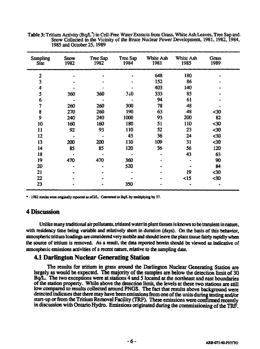| <b>Sampling</b><br>Site | Snow<br>1982 | Tree Sap<br>1982 | Tree Sap<br>1984 | White Ash<br>1981 | White Ash<br>1985 | Grass<br>1989 |  |
|-------------------------|--------------|------------------|------------------|-------------------|-------------------|---------------|--|
| $\mathbf{2}$            |              |                  |                  | 648               | 180               |               |  |
| 3                       |              |                  |                  | 152               | 86                |               |  |
| 4                       |              |                  |                  | 403               | 140               |               |  |
| 5                       | 360          | 360              | 3i0              | 333               | 85                |               |  |
| 6                       |              |                  |                  | 94                | 61                |               |  |
| 7                       | 260          | 260              | 300              | 78                | 48                |               |  |
| 8                       | 270          | 260              | 190              | 63                | 48                | $30$          |  |
| 9                       | 240          | 240              | 1000             | 93                | 200               | 82            |  |
| 10                      | 160          | 160              | 180              | 51                | 110               | $30$          |  |
| 11                      | 92           | 93               | 110              | 52                | 23                | $30$          |  |
| 12                      |              |                  | 43               | 36                | 24                | $30$          |  |
| 13                      | 200          | 200              | 110              | 109               | 31                | $30$          |  |
| 14                      | 85           | 85               | 120              | 36                | 56                | 120           |  |
| 18                      |              |                  |                  |                   | 43                | 63            |  |
| 19                      | 470          | 470              | 360              |                   |                   | 90            |  |
| 20                      | ۰            |                  | 520              |                   |                   | 84            |  |
| 21                      |              |                  |                  |                   | 19                | $30$          |  |
| 22                      |              |                  |                  |                   | $15$              | $30$          |  |
| 23                      |              |                  | 350              |                   |                   |               |  |

**Table 3: Tritium Activity (Bq/L\*) in Cell-Free Water Extracts from Grass, White Ash Leaves, Tree Sap and** Snow Collected in the Vicinity of the Bruce Nuclear Power Development, 1981, 1982, 1984, **1985 and October 25,1989**

\* - 1982 results were originally reported as nCi/L. Converted to Bq/L by multiplying by 37.

# **4 Discussion**

Unlike many traditional air pollutants, tritiated water in plant tissues is known to be transient in nature, **with residency time being variable and relatively short in duration (days). On the basis of this behavior, atmospheric tritium loadings are considered very mobile and should leave the plant tissue fairly rapidly when the source of tritium is removed. As a result, the data reported herein should be viewed as indicative of atmospheric emissions activities of a recent nature, relative to the sampling date.**

# **4.1 Darlington Nuclear Generating Station**

**The results for tritium in grass around the Darlington Nuclear Generating Station are largely as would be expected. The majority of the samples are below the detection limit of 30 Bq/L. The two exceptions were at stations 4 and 5 located at the northeast and east boundaries of the station property. While above the detection limit, the levels at these two stations are still low compared to results collected around PNGS. The fact that results above background were detected indicates that there may have been emissions from one of the units during testing and/or start-up or from the Tritium Removal Facility (TRF). These emissions were confirmed recently in discussion with Ontario Hydro. Emissions originated during the commissioning of the TRF.**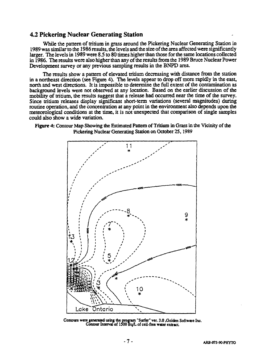#### **4.2 Pickering Nuclear Generating Station**

While the pattern of tritium in grass around the Pickering Nuclear Generating Station in 1989 was similar to the 1986 results, the levels and the size of the area affected were significantly larger. The levels in 1989 were 8.5 to 80 times higher than those for the same locations collected in 1986. The results were also higher than any of the results from the 1989 Bruce Nuclear Power Development survey or any previous sampling results in the BNPD area.

The results show a pattern of elevated tritium decreasing with distance from the station in a northeast direction (see Figure 4). The levels appear to drop off more rapidly in the east, north and west directions. It is impossible to determine the full extent of the contamination as background levels were not observed at any location. Based on the earlier discussion of the mobility of tritium, the results suggest that a release had occurred near the time of the survey. Since tritium releases display significant short-term variations (several magnitudes) during routine operation, and the concentration at any point in the environment also depends upon the meteorological conditions at the time, it is not unexpected that comparison of single samples could also show a wide variation.





**Contour! were generated using the program "Surfer" ver. 3.0 .Golden Software Inc. Contour Interval of 1500 Bq/L of cell-free water extract.**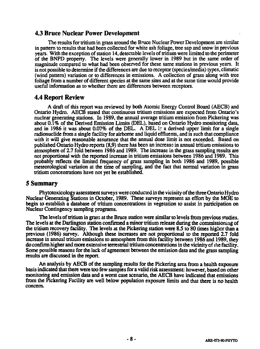### **4.3 Bruce Nuclear Power Development**

**The results for tritium in grass around the Bruce Nuclear Power Development are similar in pattern to results that had been collected for white ash foliage, tree sap and snow in previous years. With the exception of station 14, detectable levels of tritium were limited to the perimeter of the BNPD property. The levels were generally lower in 1989 but in the same order of magnitude compared to what had been observed for these same stations in previous years. It is not possible to determine if the differences are due to receptor (species/media) types, climatic (wind pattern) variation or to differences in emissions. A collection of grass along with tree foliage from a number of different species at the same sites and at the same time would provide useful information as to whether there are differences between receptors.**

# **4.4 Report Review**

**A draft of this report was reviewed by both Atomic Energy Control Board (AECB) and Ontario Hydro. AECB stated that continuous tritium emissions are expected from Ontario's nuclear generating stations. In 1989, the annual average tritium emission from Pickering was about 0.1% of the Derived Emission Limits (DEL), based on Ontario Hydro monitoring data, and in 1986 it was about 0.07% of the DEL. A DEL ir a derived upper limit for a single radionuclide from a single facility for airborne and liquid effluents, and is such that compliance with it will give reasonable assurance that the annual dose limit is not exceeded. Based on published Ontario Hydro reports (8,9) there has been an increase in annual tritium emissions to atmosphere of 2.7 fold between 1986 and 1989. The increase in the grass sampling results are not proportional with the reported increase in tritium emissions between 1986 and 1989. This probably reflects the limited frequency of grass sampling in both 1986 and 1989, possible meteorological variation at the time of sampling, and the fact that normal variation in grass tritium concentrations have not yet be established.**

### **5 Summary**

**Phytotoxicology assessment surveys were conducted in the vicinity of the three Ontario Hydro Nuclear Generating Stations in October, 1989. These surveys represent an effort by the MOE to begin to establish a database of tritium concentrations in vegetation to assist in participation on Nuclear Contingency sampling programs.**

**The levels of tritium in grass at the Bruce station were similar to levels from previous studies. The levels at the Darlington station confirmed a minor tritium release during die commissioning of the tritium recovery facility. The levels at the Pickering station were 8.5 to 80 times higher than a previous (1986) survey. Although these increases are not proportional to the reported 2.7 fold increase in annual tritium emissions to atmosphere from this facility between 1986 and 1989, they do confirm higher and more extensive terrestrial tritium concentrations in the vicinity of ihe facility. Some possible reasons for the lack of agreement between the emission data and the grass sampling results are discussed in the report.**

**An analysis by AECB of the sampling results for the Pickering area from a health exposure basis indicated that there were too few samples for a valid risk assessment: however, based on other monitoring and emission data and a worst case scenario, the AECB have indicated that emissions from the Pickering Facility arc well below population exposure limits and that there is no health concern.**